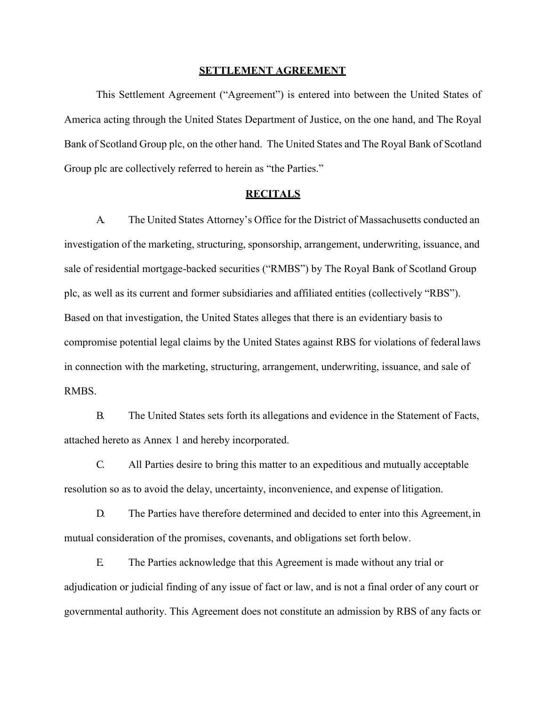### **SETTLEMENT AGREEMENT**

 America acting through the United States Department of Justice, on the one hand, and The Royal This Settlement Agreement ("Agreement") is entered into between the United States of Bank of Scotland Group plc, on the other hand. The United States and The Royal Bank of Scotland Group plc are collectively referred to herein as "the Parties."

### **RECITALS**

A. The United States Attorney's Office for the District of Massachusetts conducted an investigation of the marketing, structuring, sponsorship, arrangement, underwriting, issuance, and sale of residential mortgage-backed securities ("RMBS") by The Royal Bank of Scotland Group plc, as well as its current and former subsidiaries and affiliated entities (collectively "RBS"). Based on that investigation, the United States alleges that there is an evidentiary basis to compromise potential legal claims by the United States against RBS for violations of federallaws in connection with the marketing, structuring, arrangement, underwriting, issuance, and sale of RMBS.

B. The United States sets forth its allegations and evidence in the Statement of Facts, attached hereto as Annex 1 and hereby incorporated.

 C. All Parties desire to bring this matter to an expeditious and mutually acceptable resolution so as to avoid the delay, uncertainty, inconvenience, and expense of litigation.

D. The Parties have therefore determined and decided to enter into this Agreement, in mutual consideration of the promises, covenants, and obligations set forth below.

E. The Parties acknowledge that this Agreement is made without any trial or adjudication or judicial finding of any issue of fact or law, and is not a final order of any court or governmental authority. This Agreement does not constitute an admission by RBS of any facts or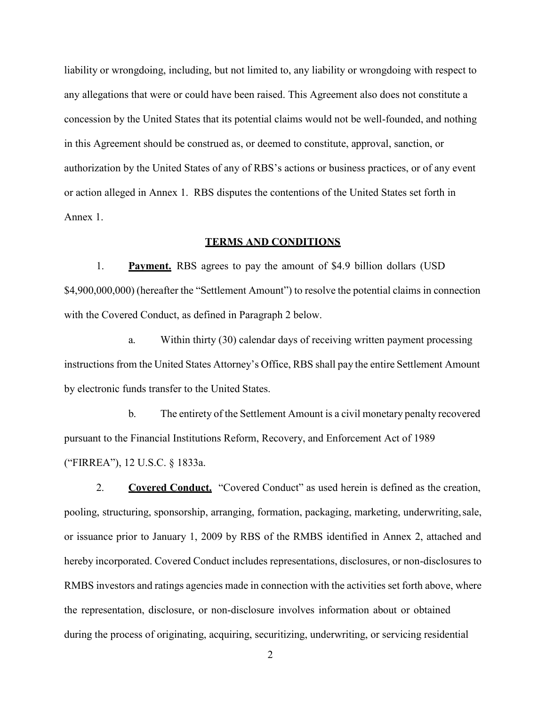or action alleged in Annex 1. RBS disputes the contentions of the United States set forth in liability or wrongdoing, including, but not limited to, any liability or wrongdoing with respect to any allegations that were or could have been raised. This Agreement also does not constitute a concession by the United States that its potential claims would not be well-founded, and nothing in this Agreement should be construed as, or deemed to constitute, approval, sanction, or authorization by the United States of any of RBS's actions or business practices, or of any event Annex 1.

## **TERMS AND CONDITIONS**

1. **Payment.** RBS agrees to pay the amount of \$4.9 billion dollars (USD \$4,900,000,000) (hereafter the "Settlement Amount") to resolve the potential claims in connection with the Covered Conduct, as defined in Paragraph 2 below.

a. Within thirty (30) calendar days of receiving written payment processing instructions from the United States Attorney's Office, RBS shall pay the entire Settlement Amount by electronic funds transfer to the United States.

 ("FIRREA"), 12 U.S.C. § 1833a. b. The entirety of the Settlement Amount is a civil monetary penalty recovered pursuant to the Financial Institutions Reform, Recovery, and Enforcement Act of 1989

 or issuance prior to January 1, 2009 by RBS of the RMBS identified in Annex 2, attached and 2. **Covered Conduct.** "Covered Conduct" as used herein is defined as the creation, pooling, structuring, sponsorship, arranging, formation, packaging, marketing, underwriting, sale, hereby incorporated. Covered Conduct includes representations, disclosures, or non-disclosures to RMBS investors and ratings agencies made in connection with the activities set forth above, where the representation, disclosure, or non-disclosure involves information about or obtained during the process of originating, acquiring, securitizing, underwriting, or servicing residential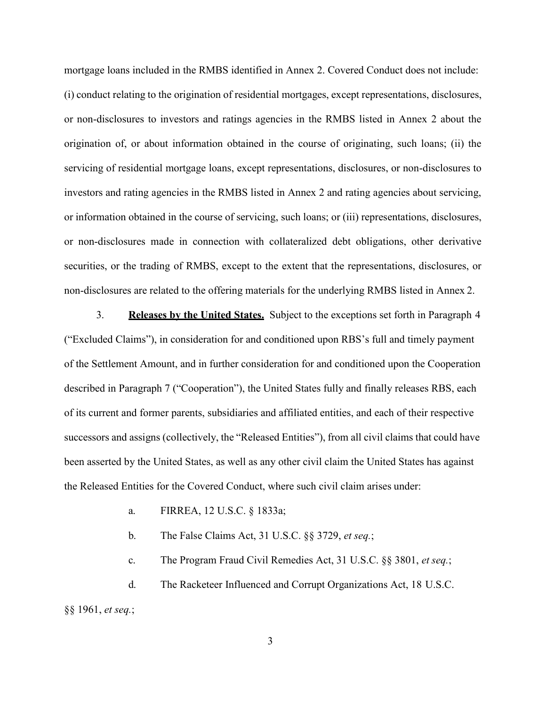or non-disclosures to investors and ratings agencies in the RMBS listed in Annex 2 about the investors and rating agencies in the RMBS listed in Annex 2 and rating agencies about servicing, or non-disclosures made in connection with collateralized debt obligations, other derivative mortgage loans included in the RMBS identified in Annex 2. Covered Conduct does not include: (i) conduct relating to the origination of residential mortgages, except representations, disclosures, origination of, or about information obtained in the course of originating, such loans; (ii) the servicing of residential mortgage loans, except representations, disclosures, or non-disclosures to or information obtained in the course of servicing, such loans; or (iii) representations, disclosures, securities, or the trading of RMBS, except to the extent that the representations, disclosures, or non-disclosures are related to the offering materials for the underlying RMBS listed in Annex 2.

3. **Releases by the United States.** Subject to the exceptions set forth in Paragraph 4 ("Excluded Claims"), in consideration for and conditioned upon RBS's full and timely payment of the Settlement Amount, and in further consideration for and conditioned upon the Cooperation described in Paragraph 7 ("Cooperation"), the United States fully and finally releases RBS, each of its current and former parents, subsidiaries and affiliated entities, and each of their respective successors and assigns (collectively, the "Released Entities"), from all civil claims that could have been asserted by the United States, as well as any other civil claim the United States has against the Released Entities for the Covered Conduct, where such civil claim arises under:

a. FIRREA, 12 U.S.C. § 1833a;

b. The False Claims Act, 31 U.S.C. §§ 3729, *et seq.*;

c. The Program Fraud Civil Remedies Act, 31 U.S.C. §§ 3801, *et seq.*;

d. The Racketeer Influenced and Corrupt Organizations Act, 18 U.S.C. §§ 1961, *et seq.*;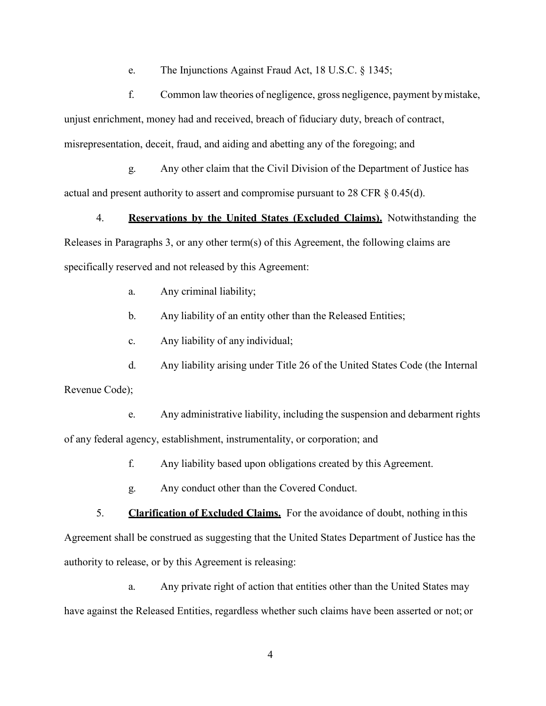e. The Injunctions Against Fraud Act, 18 U.S.C. § 1345;

f. Common law theories of negligence, gross negligence, payment by mistake, unjust enrichment, money had and received, breach of fiduciary duty, breach of contract, misrepresentation, deceit, fraud, and aiding and abetting any of the foregoing; and

g. Any other claim that the Civil Division of the Department of Justice has actual and present authority to assert and compromise pursuant to 28 CFR § 0.45(d).

 4. **Reservations by the United States (Excluded Claims).** Notwithstanding the Releases in Paragraphs 3, or any other term(s) of this Agreement, the following claims are specifically reserved and not released by this Agreement:

a. Any criminal liability;

b. Any liability of an entity other than the Released Entities;

c. Any liability of any individual;

d. Any liability arising under Title 26 of the United States Code (the Internal Revenue Code);

e. Any administrative liability, including the suspension and debarment rights of any federal agency, establishment, instrumentality, or corporation; and

f. Any liability based upon obligations created by this Agreement.

g. Any conduct other than the Covered Conduct.

5. **Clarification of Excluded Claims.** For the avoidance of doubt, nothing in this Agreement shall be construed as suggesting that the United States Department of Justice has the authority to release, or by this Agreement is releasing:

a. Any private right of action that entities other than the United States may have against the Released Entities, regardless whether such claims have been asserted or not; or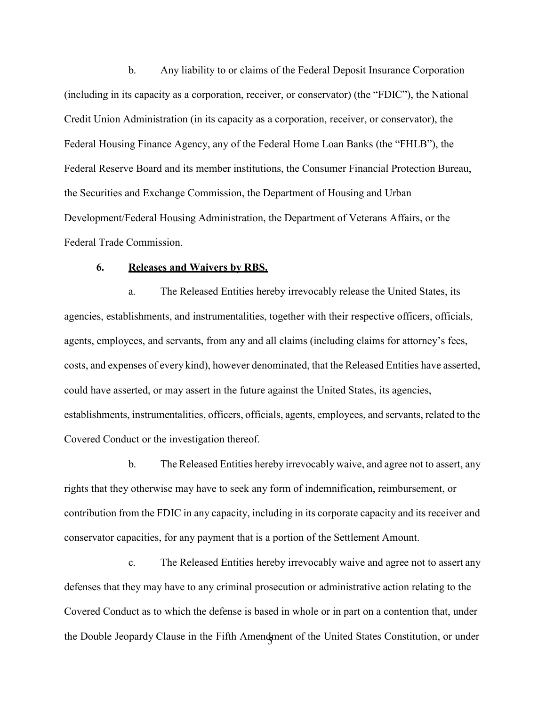b. Any liability to or claims of the Federal Deposit Insurance Corporation (including in its capacity as a corporation, receiver, or conservator) (the "FDIC"), the National Credit Union Administration (in its capacity as a corporation, receiver, or conservator), the Federal Housing Finance Agency, any of the Federal Home Loan Banks (the "FHLB"), the Federal Reserve Board and its member institutions, the Consumer Financial Protection Bureau, the Securities and Exchange Commission, the Department of Housing and Urban Development/Federal Housing Administration, the Department of Veterans Affairs, or the Federal Trade Commission.

### **6. Releases and Waivers by RBS.**

a. The Released Entities hereby irrevocably release the United States, its agencies, establishments, and instrumentalities, together with their respective officers, officials, agents, employees, and servants, from any and all claims (including claims for attorney's fees, costs, and expenses of every kind), however denominated, that the Released Entities have asserted, could have asserted, or may assert in the future against the United States, its agencies, establishments, instrumentalities, officers, officials, agents, employees, and servants, related to the Covered Conduct or the investigation thereof.

b. The Released Entities hereby irrevocably waive, and agree not to assert, any rights that they otherwise may have to seek any form of indemnification, reimbursement, or contribution from the FDIC in any capacity, including in its corporate capacity and its receiver and conservator capacities, for any payment that is a portion of the Settlement Amount.

c. The Released Entities hereby irrevocably waive and agree not to assert any defenses that they may have to any criminal prosecution or administrative action relating to the Covered Conduct as to which the defense is based in whole or in part on a contention that, under the Double Jeopardy Clause in the Fifth Amendment of the United States Constitution, or under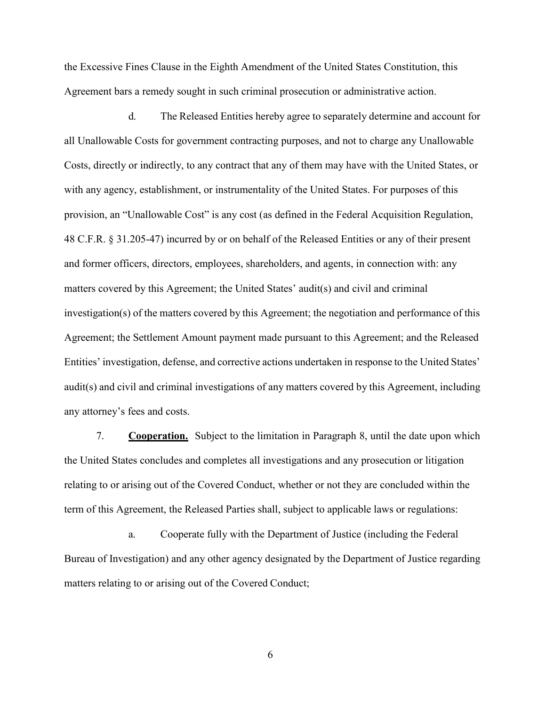Agreement bars a remedy sought in such criminal prosecution or administrative action. the Excessive Fines Clause in the Eighth Amendment of the United States Constitution, this

d. The Released Entities hereby agree to separately determine and account for all Unallowable Costs for government contracting purposes, and not to charge any Unallowable Costs, directly or indirectly, to any contract that any of them may have with the United States, or with any agency, establishment, or instrumentality of the United States. For purposes of this provision, an "Unallowable Cost" is any cost (as defined in the Federal Acquisition Regulation, 48 C.F.R. § 31.205-47) incurred by or on behalf of the Released Entities or any of their present and former officers, directors, employees, shareholders, and agents, in connection with: any matters covered by this Agreement; the United States' audit(s) and civil and criminal investigation(s) of the matters covered by this Agreement; the negotiation and performance of this Agreement; the Settlement Amount payment made pursuant to this Agreement; and the Released Entities' investigation, defense, and corrective actions undertaken in response to the United States' audit(s) and civil and criminal investigations of any matters covered by this Agreement, including any attorney's fees and costs.

 relating to or arising out of the Covered Conduct, whether or not they are concluded within the 7. **Cooperation.** Subject to the limitation in Paragraph 8, until the date upon which the United States concludes and completes all investigations and any prosecution or litigation term of this Agreement, the Released Parties shall, subject to applicable laws or regulations:

a. Cooperate fully with the Department of Justice (including the Federal Bureau of Investigation) and any other agency designated by the Department of Justice regarding matters relating to or arising out of the Covered Conduct;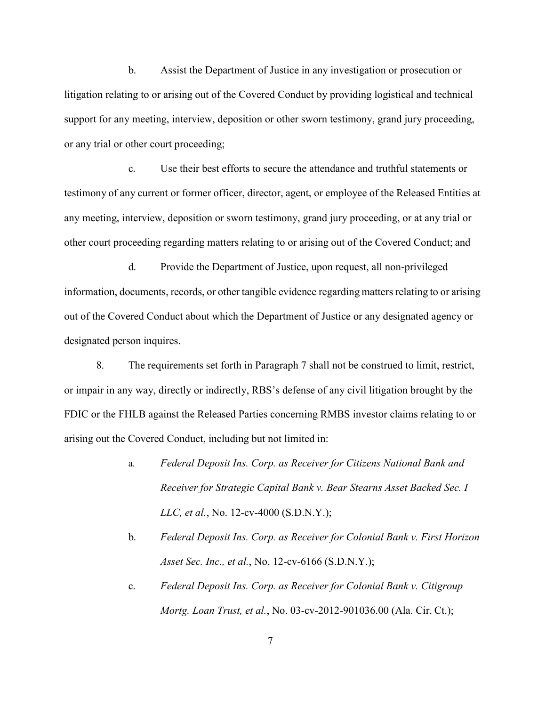b. Assist the Department of Justice in any investigation or prosecution or litigation relating to or arising out of the Covered Conduct by providing logistical and technical support for any meeting, interview, deposition or other sworn testimony, grand jury proceeding, or any trial or other court proceeding;

c. Use their best efforts to secure the attendance and truthful statements or testimony of any current or former officer, director, agent, or employee of the Released Entities at any meeting, interview, deposition or sworn testimony, grand jury proceeding, or at any trial or other court proceeding regarding matters relating to or arising out of the Covered Conduct; and

d. Provide the Department of Justice, upon request, all non-privileged information, documents, records, or other tangible evidence regarding matters relating to or arising out of the Covered Conduct about which the Department of Justice or any designated agency or designated person inquires.

8. The requirements set forth in Paragraph 7 shall not be construed to limit, restrict, or impair in any way, directly or indirectly, RBS's defense of any civil litigation brought by the FDIC or the FHLB against the Released Parties concerning RMBS investor claims relating to or arising out the Covered Conduct, including but not limited in:

- a. *Federal Deposit Ins. Corp. as Receiver for Citizens National Bank and Receiver for Strategic Capital Bank v. Bear Stearns Asset Backed Sec. I LLC, et al.*, No. 12-cv-4000 (S.D.N.Y.);
- b. *Federal Deposit Ins. Corp. as Receiver for Colonial Bank v. First Horizon Asset Sec. Inc., et al.*, No. 12-cv-6166 (S.D.N.Y.);
- c. *Federal Deposit Ins. Corp. as Receiver for Colonial Bank v. Citigroup Mortg. Loan Trust, et al.*, No. 03-cv-2012-901036.00 (Ala. Cir. Ct.);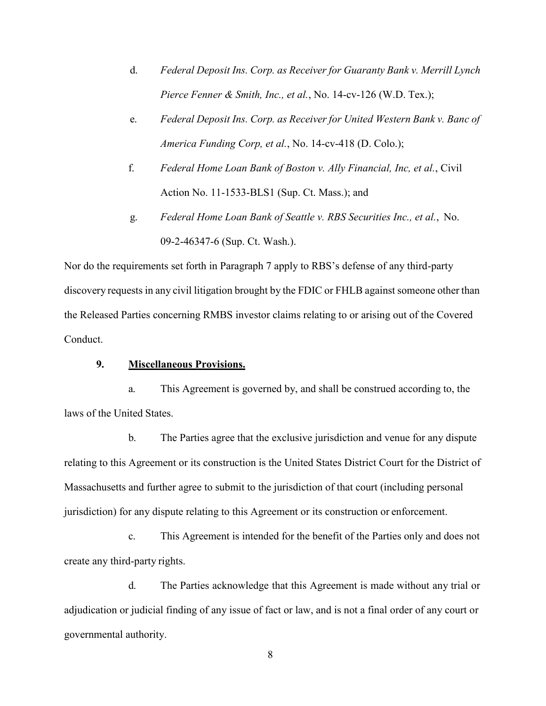- d. *Federal Deposit Ins. Corp. as Receiver for Guaranty Bank v. Merrill Lynch Pierce Fenner & Smith, Inc., et al.*, No. 14-cv-126 (W.D. Tex.);
- e. *Federal Deposit Ins. Corp. as Receiver for United Western Bank v. Banc of America Funding Corp, et al.*, No. 14-cv-418 (D. Colo.);
- f. *Federal Home Loan Bank of Boston v. Ally Financial, Inc, et al.*, Civil Action No. 11-1533-BLS1 (Sup. Ct. Mass.); and
- g. *Federal Home Loan Bank of Seattle v. RBS Securities Inc., et al.*, No. 09-2-46347-6 (Sup. Ct. Wash.).

Nor do the requirements set forth in Paragraph 7 apply to RBS's defense of any third-party discovery requests in any civil litigation brought by the FDIC or FHLB against someone other than the Released Parties concerning RMBS investor claims relating to or arising out of the Covered Conduct.

# **9. Miscellaneous Provisions.**

a. This Agreement is governed by, and shall be construed according to, the laws of the United States.

b. The Parties agree that the exclusive jurisdiction and venue for any dispute relating to this Agreement or its construction is the United States District Court for the District of Massachusetts and further agree to submit to the jurisdiction of that court (including personal jurisdiction) for any dispute relating to this Agreement or its construction or enforcement.

c. This Agreement is intended for the benefit of the Parties only and does not create any third-party rights.

d. The Parties acknowledge that this Agreement is made without any trial or adjudication or judicial finding of any issue of fact or law, and is not a final order of any court or governmental authority.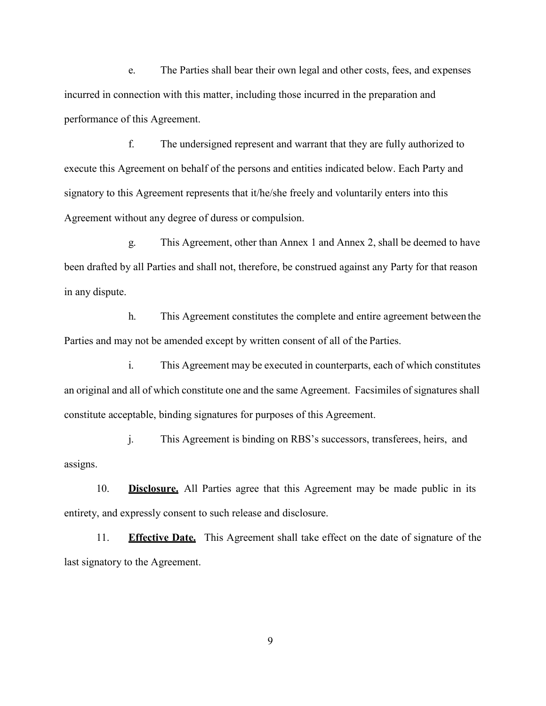e. The Parties shall bear their own legal and other costs, fees, and expenses incurred in connection with this matter, including those incurred in the preparation and performance of this Agreement.

f. The undersigned represent and warrant that they are fully authorized to execute this Agreement on behalf of the persons and entities indicated below. Each Party and signatory to this Agreement represents that it/he/she freely and voluntarily enters into this Agreement without any degree of duress or compulsion.

g. This Agreement, other than Annex 1 and Annex 2, shall be deemed to have been drafted by all Parties and shall not, therefore, be construed against any Party for that reason in any dispute.

h. This Agreement constitutes the complete and entire agreement between the Parties and may not be amended except by written consent of all of the Parties.

i. This Agreement may be executed in counterparts, each of which constitutes an original and all of which constitute one and the same Agreement. Facsimiles of signatures shall constitute acceptable, binding signatures for purposes of this Agreement.

j. This Agreement is binding on RBS's successors, transferees, heirs, and assigns.

10. **Disclosure.** All Parties agree that this Agreement may be made public in its entirety, and expressly consent to such release and disclosure.

11. **Effective Date.** This Agreement shall take effect on the date of signature of the last signatory to the Agreement.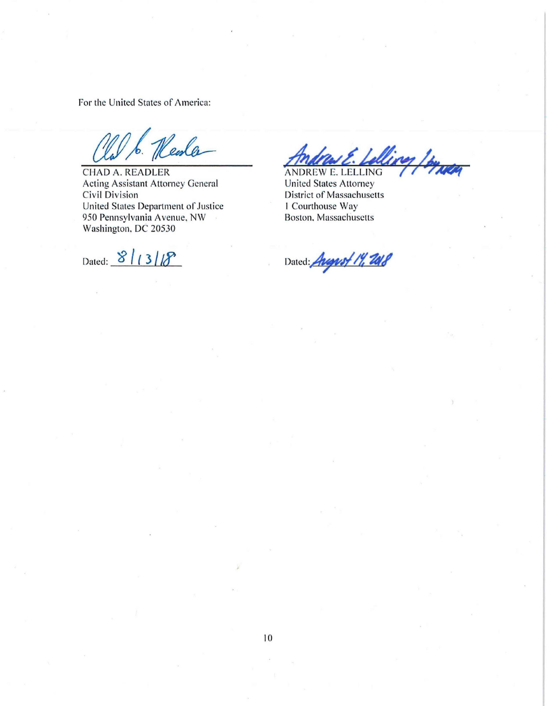For the United States of America:

Acting Assistant Attorney General<br>Civil Division United States Department of Justice<br>
950 Pennsylvania Avenue, NW<br>
Boston, Massachusetts 950 Pennsylvania Avenue, NW Washington. DC 20530

Dated:  $8/13/8$ 

Old b. Menla<br>CHAD A. READLER ANDREW E. Lelling

District of Massachusetts<br>1 Courthouse Way

Dated: *August 14, 2018*